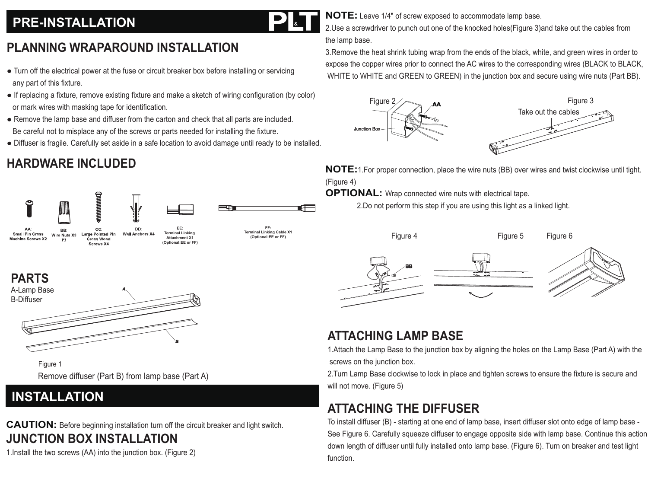### **PRE-INSTALLATION**

### **PLANNING WRAPAROUND INSTALLATION**

- Turn off the electrical power at the fuse or circuit breaker box before installing or servicing any part of this fixture.
- If replacing a fixture, remove existing fixture and make a sketch of wiring configuration (by color) or mark wires with masking tape for identification.
- Remove the lamp base and diffuser from the carton and check that all parts are included. Be careful not to misplace any of the screws or parts needed for installing the fixture.
- Diffuser is fragile. Carefully set aside in a safe location to avoid damage until ready to be installed.

## **HARDWARE INCLUDED**



**FF: Terminal Linking Cable X1 (Optional:EE or FF)**

**&**

**PARTS**



 Remove diffuser (Part B) from lamp base (Part A) Figure 1

#### **INSTALLATION**

**CAUTION:** Before beginning installation turn off the circuit breaker and light switch. **JUNCTION BOX INSTALLATION**

1.Install the two screws (AA) into the junction box. (Figure 2)

**NOTE:** Leave 1/4" of screw exposed to accommodate lamp base.

2.Use a screwdriver to punch out one of the knocked holes(Figure 3)and take out the cables from the lamp base.

3.Remove the heat shrink tubing wrap from the ends of the black, white, and green wires in order to expose the copper wires prior to connect the AC wires to the corresponding wires (BLACK to BLACK, WHITE to WHITE and GREEN to GREEN) in the junction box and secure using wire nuts (Part BB).



**NOTE:**1.For proper connection, place the wire nuts (BB) over wires and twist clockwise until tight. (Figure 4)

**OPTIONAL:** Wrap connected wire nuts with electrical tape.

2.Do not perform this step if you are using this light as a linked light.









#### **ATTACHING LAMP BASE**

1.Attach the Lamp Base to the junction box by aligning the holes on the Lamp Base (Part A) with the screws on the junction box.

2.Turn Lamp Base clockwise to lock in place and tighten screws to ensure the fixture is secure and will not move. (Figure 5)

### **ATTACHING THE DIFFUSER**

To install diffuser (B) - starting at one end of lamp base, insert diffuser slot onto edge of lamp base - See Figure 6. Carefully squeeze diffuser to engage opposite side with lamp base. Continue this action down length of diffuser until fully installed onto lamp base. (Figure 6). Turn on breaker and test light function.